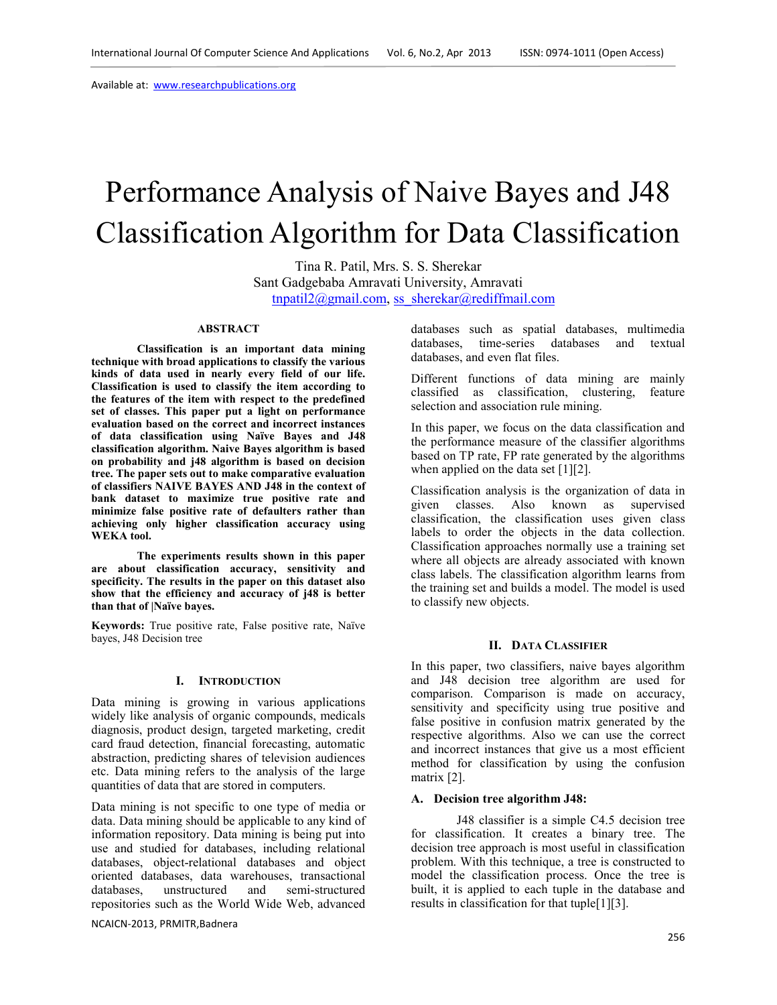Available at: www.researchpublications.org

# Performance Analysis of Naive Bayes and J48 Classification Algorithm for Data Classification

Tina R. Patil, Mrs. S. S. Sherekar Sant Gadgebaba Amravati University, Amravati tnpatil2@gmail.com, ss\_sherekar@rediffmail.com

#### **ABSTRACT**

**Classification is an important data mining technique with broad applications to classify the various kinds of data used in nearly every field of our life. Classification is used to classify the item according to the features of the item with respect to the predefined set of classes. This paper put a light on performance evaluation based on the correct and incorrect instances of data classification using Naïve Bayes and J48 classification algorithm. Naive Bayes algorithm is based on probability and j48 algorithm is based on decision tree. The paper sets out to make comparative evaluation of classifiers NAIVE BAYES AND J48 in the context of bank dataset to maximize true positive rate and minimize false positive rate of defaulters rather than achieving only higher classification accuracy using WEKA tool.** 

**The experiments results shown in this paper are about classification accuracy, sensitivity and specificity. The results in the paper on this dataset also show that the efficiency and accuracy of j48 is better than that of |Naïve bayes.** 

**Keywords:** True positive rate, False positive rate, Naïve bayes, J48 Decision tree

#### **I. INTRODUCTION**

Data mining is growing in various applications widely like analysis of organic compounds, medicals diagnosis, product design, targeted marketing, credit card fraud detection, financial forecasting, automatic abstraction, predicting shares of television audiences etc. Data mining refers to the analysis of the large quantities of data that are stored in computers.

Data mining is not specific to one type of media or data. Data mining should be applicable to any kind of information repository. Data mining is being put into use and studied for databases, including relational databases, object-relational databases and object oriented databases, data warehouses, transactional databases, unstructured and semi-structured repositories such as the World Wide Web, advanced

NCAICN-2013, PRMITR,Badnera

databases such as spatial databases, multimedia databases, time-series databases and textual databases, and even flat files.

Different functions of data mining are mainly classified as classification, clustering, feature selection and association rule mining.

In this paper, we focus on the data classification and the performance measure of the classifier algorithms based on TP rate, FP rate generated by the algorithms when applied on the data set [1][2].

Classification analysis is the organization of data in given classes. Also known as supervised classification, the classification uses given class labels to order the objects in the data collection. Classification approaches normally use a training set where all objects are already associated with known class labels. The classification algorithm learns from the training set and builds a model. The model is used to classify new objects.

#### **II. DATA CLASSIFIER**

In this paper, two classifiers, naive bayes algorithm and J48 decision tree algorithm are used for comparison. Comparison is made on accuracy, sensitivity and specificity using true positive and false positive in confusion matrix generated by the respective algorithms. Also we can use the correct and incorrect instances that give us a most efficient method for classification by using the confusion matrix [2].

#### **A. Decision tree algorithm J48:**

J48 classifier is a simple C4.5 decision tree for classification. It creates a binary tree. The decision tree approach is most useful in classification problem. With this technique, a tree is constructed to model the classification process. Once the tree is built, it is applied to each tuple in the database and results in classification for that tuple[1][3].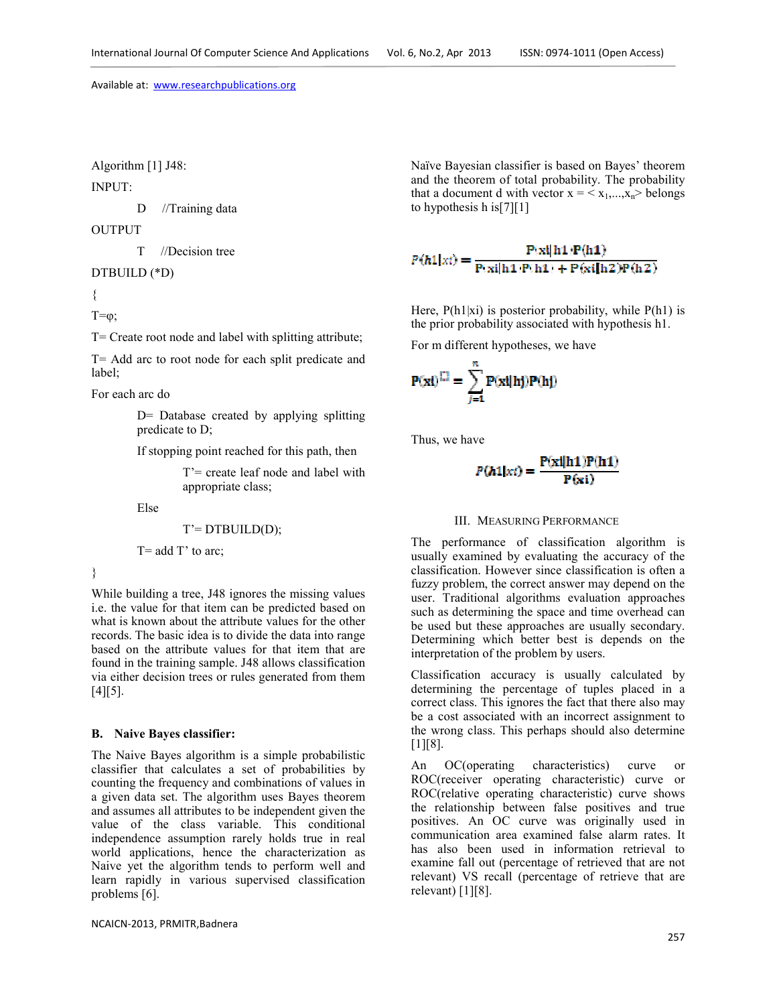Algorithm [1] J48:

INPUT:

D //Training data

OUTPUT

T //Decision tree

DTBUILD (\*D)

{

 $T=\varphi$ ;

T= Create root node and label with splitting attribute;

T= Add arc to root node for each split predicate and label;

For each arc do

D= Database created by applying splitting predicate to D;

If stopping point reached for this path, then

T'= create leaf node and label with appropriate class;

Else

$$
T' = DTBULD(D);
$$

 $T = add T' to arc;$ 

}

While building a tree, J48 ignores the missing values i.e. the value for that item can be predicted based on what is known about the attribute values for the other records. The basic idea is to divide the data into range based on the attribute values for that item that are found in the training sample. J48 allows classification via either decision trees or rules generated from them  $[4]$ [5].

# **B. Naive Bayes classifier:**

The Naive Bayes algorithm is a simple probabilistic classifier that calculates a set of probabilities by counting the frequency and combinations of values in a given data set. The algorithm uses Bayes theorem and assumes all attributes to be independent given the value of the class variable. This conditional independence assumption rarely holds true in real world applications, hence the characterization as Naive yet the algorithm tends to perform well and learn rapidly in various supervised classification problems [6].

Naïve Bayesian classifier is based on Bayes' theorem and the theorem of total probability. The probability that a document d with vector  $x = \langle x_1,...,x_n \rangle$  belongs to hypothesis h is[7][1]

$$
P(h1|x_i) = \frac{P(xi|h1)P(h1)}{P(xi|h1)P(h1) + P(xi|h2)P(h2)}
$$

Here,  $P(h1|x_i)$  is posterior probability, while  $P(h1)$  is the prior probability associated with hypothesis h1.

For m different hypotheses, we have

$$
P(xi)^{\square} = \sum_{j=1}^{n} P(xi|hj)P(hj)
$$

Thus, we have

$$
P(h1|x_i) = \frac{P(xi|h1)P(h1)}{P(xi)}
$$

## III. MEASURING PERFORMANCE

The performance of classification algorithm is usually examined by evaluating the accuracy of the classification. However since classification is often a fuzzy problem, the correct answer may depend on the user. Traditional algorithms evaluation approaches such as determining the space and time overhead can be used but these approaches are usually secondary. Determining which better best is depends on the interpretation of the problem by users.

Classification accuracy is usually calculated by determining the percentage of tuples placed in a correct class. This ignores the fact that there also may be a cost associated with an incorrect assignment to the wrong class. This perhaps should also determine  $[1]$ [8].

An OC(operating characteristics) curve or ROC(receiver operating characteristic) curve or ROC(relative operating characteristic) curve shows the relationship between false positives and true positives. An OC curve was originally used in communication area examined false alarm rates. It has also been used in information retrieval to examine fall out (percentage of retrieved that are not relevant) VS recall (percentage of retrieve that are relevant)  $[1][8]$ .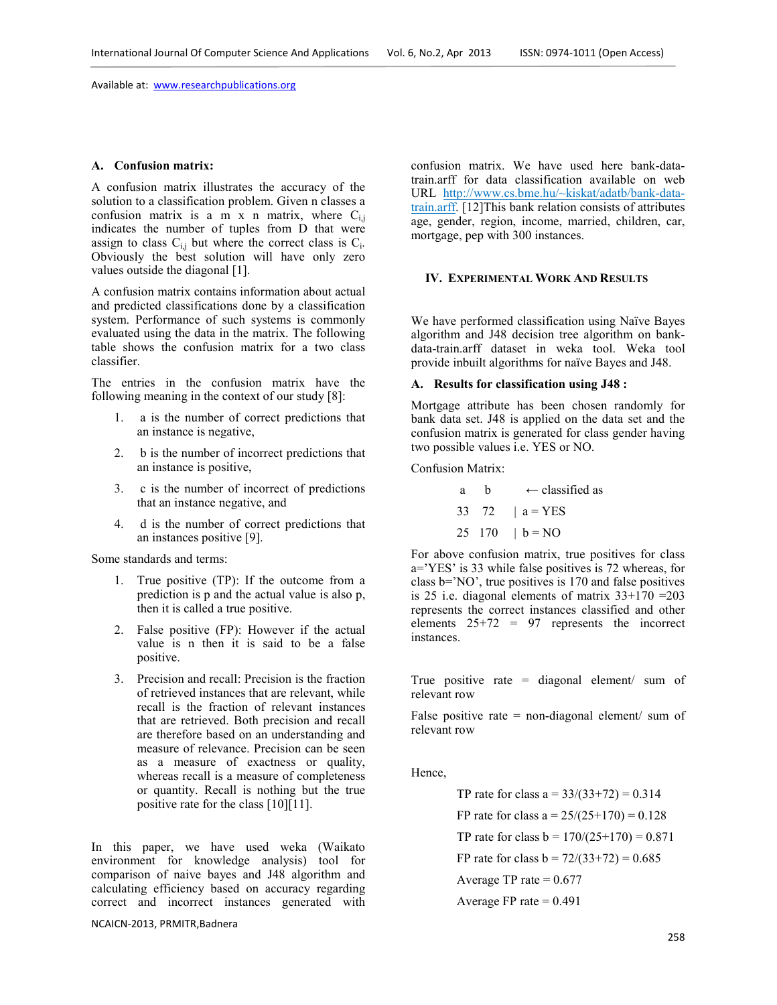Available at: www.researchpublications.org

#### **A. Confusion matrix:**

A confusion matrix illustrates the accuracy of the solution to a classification problem. Given n classes a confusion matrix is a m x n matrix, where  $C_{i,j}$ indicates the number of tuples from D that were assign to class  $C_{i,j}$  but where the correct class is  $C_i$ . Obviously the best solution will have only zero values outside the diagonal [1].

A confusion matrix contains information about actual and predicted classifications done by a classification system. Performance of such systems is commonly evaluated using the data in the matrix. The following table shows the confusion matrix for a two class classifier.

The entries in the confusion matrix have the following meaning in the context of our study [8]:

- 1. a is the number of correct predictions that an instance is negative,
- 2. b is the number of incorrect predictions that an instance is positive,
- 3. c is the number of incorrect of predictions that an instance negative, and
- 4. d is the number of correct predictions that an instances positive [9].

Some standards and terms:

- 1. True positive (TP): If the outcome from a prediction is p and the actual value is also p, then it is called a true positive.
- 2. False positive (FP): However if the actual value is n then it is said to be a false positive.
- 3. Precision and recall: Precision is the fraction of retrieved instances that are relevant, while recall is the fraction of relevant instances that are retrieved. Both precision and recall are therefore based on an understanding and measure of relevance. Precision can be seen as a measure of exactness or quality, whereas recall is a measure of completeness or quantity. Recall is nothing but the true positive rate for the class [10][11].

In this paper, we have used weka (Waikato environment for knowledge analysis) tool for comparison of naive bayes and J48 algorithm and calculating efficiency based on accuracy regarding correct and incorrect instances generated with

NCAICN-2013, PRMITR,Badnera

confusion matrix. We have used here bank-datatrain.arff for data classification available on web URL http://www.cs.bme.hu/~kiskat/adatb/bank-datatrain.arff. [12]This bank relation consists of attributes age, gender, region, income, married, children, car, mortgage, pep with 300 instances.

# **IV. EXPERIMENTAL WORK AND RESULTS**

We have performed classification using Naïve Bayes algorithm and J48 decision tree algorithm on bankdata-train.arff dataset in weka tool. Weka tool provide inbuilt algorithms for naïve Bayes and J48.

#### **A. Results for classification using J48 :**

Mortgage attribute has been chosen randomly for bank data set. J48 is applied on the data set and the confusion matrix is generated for class gender having two possible values i.e. YES or NO.

Confusion Matrix:

a b  $\leftarrow$  classified as 33 72  $| a = YES$ 25 170  $| b = NO$ 

For above confusion matrix, true positives for class a='YES' is 33 while false positives is 72 whereas, for class b='NO', true positives is 170 and false positives is 25 i.e. diagonal elements of matrix  $33+170 = 203$ represents the correct instances classified and other elements 25+72 = 97 represents the incorrect instances.

True positive rate  $=$  diagonal element/ sum of relevant row

False positive rate  $=$  non-diagonal element/ sum of relevant row

Hence,

TP rate for class  $a = 33/(33+72) = 0.314$ FP rate for class a =  $25/(25+170) = 0.128$ TP rate for class  $b = 170/(25+170) = 0.871$ FP rate for class  $b = 72/(33+72) = 0.685$ Average TP rate  $= 0.677$ Average FP rate  $= 0.491$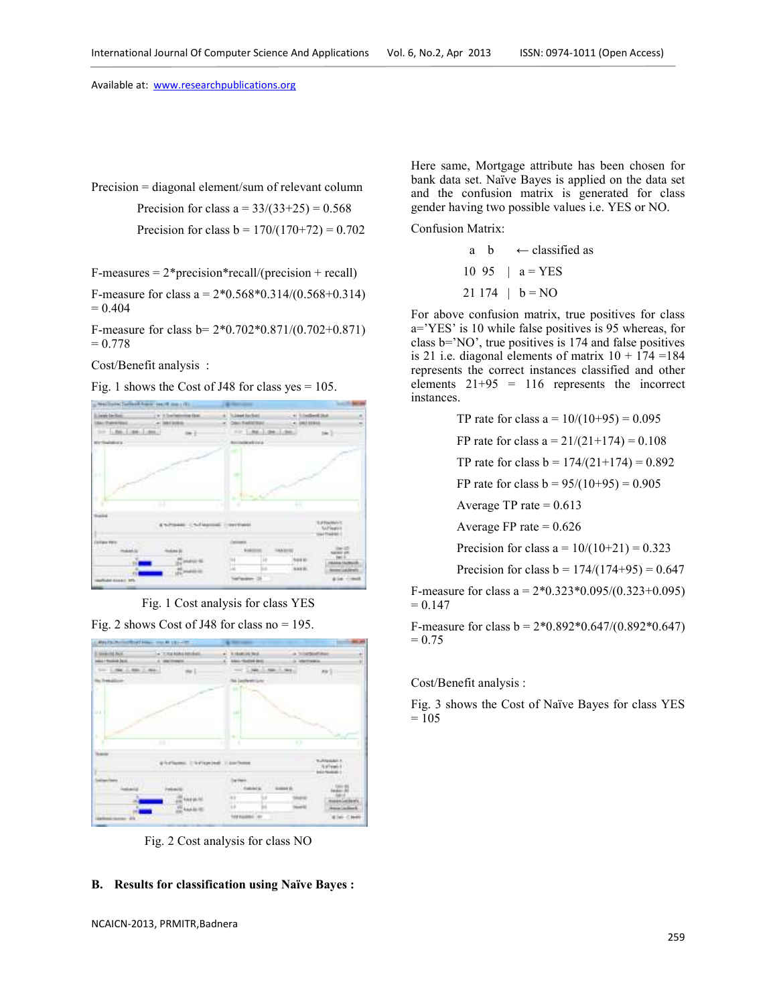Available at: www.researchpublications.org

Precision = diagonal element/sum of relevant column

Precision for class  $a = 33/(33+25) = 0.568$ Precision for class  $b = 170/(170+72) = 0.702$ 

 $F-measures = 2*precision*recall/(precision + recall)$ 

F-measure for class a =  $2*0.568*0.314/(0.568+0.314)$  $= 0.404$ 

F-measure for class b= 2\*0.702\*0.871/(0.702+0.871)  $= 0.778$ 

Cost/Benefit analysis :

Fig. 1 shows the Cost of J48 for class yes  $= 105$ .



Fig. 1 Cost analysis for class YES

Fig. 2 shows Cost of J48 for class no  $= 195$ .



Fig. 2 Cost analysis for class NO

# **B. Results for classification using Naïve Bayes :**

Here same, Mortgage attribute has been chosen for bank data set. Naïve Bayes is applied on the data set and the confusion matrix is generated for class gender having two possible values i.e. YES or NO.

Confusion Matrix:

a b  $\leftarrow$  classified as 10 95 |  $a = YES$  $21 174$  |  $b = NO$ 

For above confusion matrix, true positives for class a='YES' is 10 while false positives is 95 whereas, for class b='NO', true positives is 174 and false positives is 21 i.e. diagonal elements of matrix  $10 + 174 = 184$ represents the correct instances classified and other elements  $21+95 = 116$  represents the incorrect instances.

TP rate for class a =  $10/(10+95) = 0.095$ 

FP rate for class  $a = 21/(21+174) = 0.108$ 

TP rate for class  $b = 174/(21+174) = 0.892$ 

FP rate for class  $b = 95/(10+95) = 0.905$ 

Average TP rate  $= 0.613$ 

Average FP rate  $= 0.626$ 

Precision for class  $a = 10/(10+21) = 0.323$ 

Precision for class  $b = 174/(174+95) = 0.647$ 

F-measure for class a =  $2*0.323*0.095/(0.323+0.095)$  $= 0.147$ 

F-measure for class  $b = 2*0.892*0.647/(0.892*0.647)$  $= 0.75$ 

Cost/Benefit analysis :

Fig. 3 shows the Cost of Naïve Bayes for class YES  $= 105$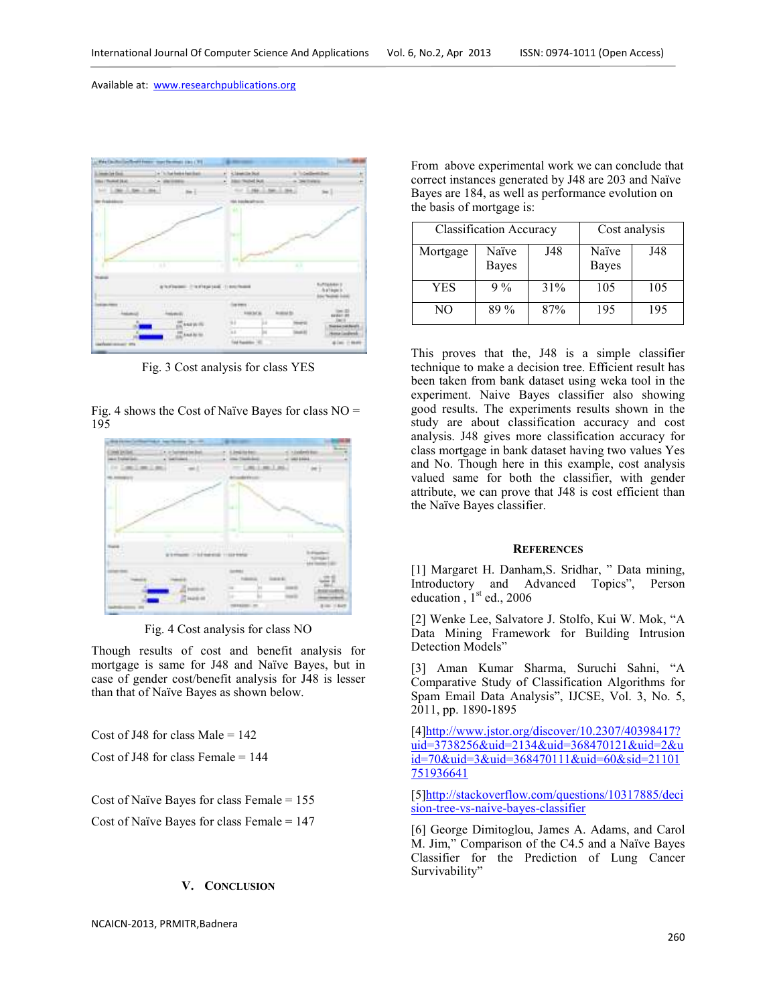

Fig. 3 Cost analysis for class YES

Fig. 4 shows the Cost of Naïve Bayes for class  $NO =$ 195



Fig. 4 Cost analysis for class NO

Though results of cost and benefit analysis for mortgage is same for J48 and Naïve Bayes, but in case of gender cost/benefit analysis for J48 is lesser than that of Naïve Bayes as shown below.

Cost of J48 for class Male  $= 142$ 

Cost of J48 for class Female = 144

Cost of Naïve Bayes for class Female = 155

Cost of Naïve Bayes for class Female = 147

## **V. CONCLUSION**

NCAICN-2013, PRMITR,Badnera

From above experimental work we can conclude that correct instances generated by J48 are 203 and Naïve Bayes are 184, as well as performance evolution on the basis of mortgage is:

| <b>Classification Accuracy</b> |                |     | Cost analysis  |     |
|--------------------------------|----------------|-----|----------------|-----|
| Mortgage                       | Naïve<br>Bayes | J48 | Naïve<br>Bayes | J48 |
| YES                            | $9\%$          | 31% | 105            | 105 |
| NO                             | $89\%$         | 87% | 195            | 195 |

This proves that the, J48 is a simple classifier technique to make a decision tree. Efficient result has been taken from bank dataset using weka tool in the experiment. Naive Bayes classifier also showing good results. The experiments results shown in the study are about classification accuracy and cost analysis. J48 gives more classification accuracy for class mortgage in bank dataset having two values Yes and No. Though here in this example, cost analysis valued same for both the classifier, with gender attribute, we can prove that J48 is cost efficient than the Naïve Bayes classifier.

#### **REFERENCES**

[1] Margaret H. Danham, S. Sridhar, " Data mining, Introductory and Advanced Topics", Person education,  $1<sup>st</sup>$  ed., 2006

[2] Wenke Lee, Salvatore J. Stolfo, Kui W. Mok, "A Data Mining Framework for Building Intrusion Detection Models"

[3] Aman Kumar Sharma, Suruchi Sahni, "A Comparative Study of Classification Algorithms for Spam Email Data Analysis", IJCSE, Vol. 3, No. 5, 2011, pp. 1890-1895

[4]http://www.jstor.org/discover/10.2307/40398417? uid=3738256&uid=2134&uid=368470121&uid=2&u id=70&uid=3&uid=368470111&uid=60&sid=21101 751936641

[5]http://stackoverflow.com/questions/10317885/deci sion-tree-vs-naive-bayes-classifier

[6] George Dimitoglou, James A. Adams, and Carol M. Jim," Comparison of the C4.5 and a Naïve Bayes Classifier for the Prediction of Lung Cancer Survivability"